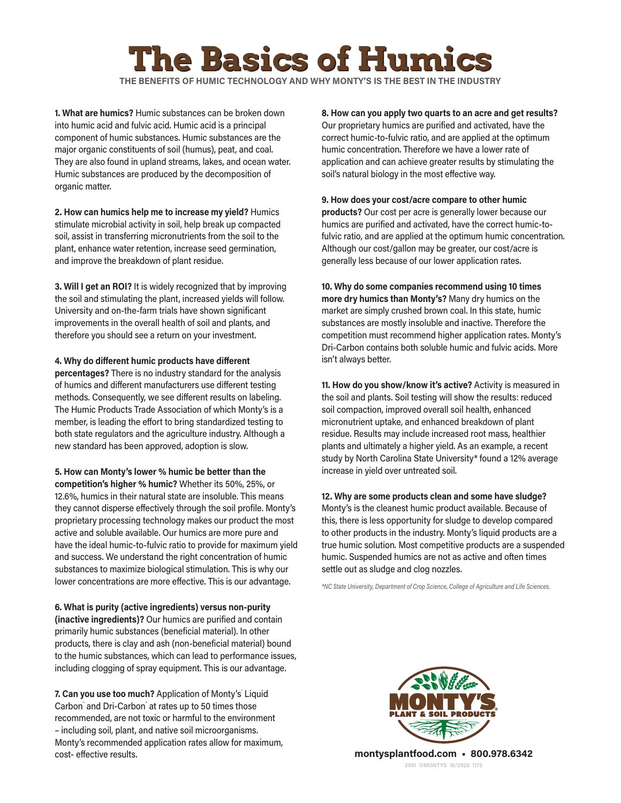## **e Basics of Hun**

**THE BENEFITS OF HUMIC TECHNOLOGY AND WHY MONTY'S IS THE BEST IN THE INDUSTRY**

**1. What are humics?** Humic substances can be broken down into humic acid and fulvic acid. Humic acid is a principal component of humic substances. Humic substances are the major organic constituents of soil (humus), peat, and coal. They are also found in upland streams, lakes, and ocean water. Humic substances are produced by the decomposition of organic matter.

**2. How can humics help me to increase my yield?** Humics stimulate microbial activity in soil, help break up compacted soil, assist in transferring micronutrients from the soil to the plant, enhance water retention, increase seed germination, and improve the breakdown of plant residue.

**3. Will I get an ROI?** It is widely recognized that by improving the soil and stimulating the plant, increased yields will follow. University and on-the-farm trials have shown significant improvements in the overall health of soil and plants, and therefore you should see a return on your investment.

**4. Why do different humic products have different** 

**percentages?** There is no industry standard for the analysis of humics and different manufacturers use different testing methods. Consequently, we see different results on labeling. The Humic Products Trade Association of which Monty's is a member, is leading the effort to bring standardized testing to both state regulators and the agriculture industry. Although a new standard has been approved, adoption is slow.

**5. How can Monty's lower % humic be better than the competition's higher % humic?** Whether its 50%, 25%, or 12.6%, humics in their natural state are insoluble. This means they cannot disperse effectively through the soil profile. Monty's proprietary processing technology makes our product the most active and soluble available. Our humics are more pure and have the ideal humic-to-fulvic ratio to provide for maximum yield and success. We understand the right concentration of humic substances to maximize biological stimulation. This is why our lower concentrations are more effective. This is our advantage.

**6. What is purity (active ingredients) versus non-purity (inactive ingredients)?** Our humics are purified and contain primarily humic substances (beneficial material). In other products, there is clay and ash (non-beneficial material) bound to the humic substances, which can lead to performance issues, including clogging of spray equipment. This is our advantage.

7. Can you use too much? Application of Monty's Liquid Carbon™ and Dri-Carbon™ at rates up to 50 times those recommended, are not toxic or harmful to the environment – including soil, plant, and native soil microorganisms. Monty's recommended application rates allow for maximum, cost- effective results.

**8. How can you apply two quarts to an acre and get results?** Our proprietary humics are purified and activated, have the correct humic-to-fulvic ratio, and are applied at the optimum humic concentration. Therefore we have a lower rate of application and can achieve greater results by stimulating the soil's natural biology in the most effective way.

**9. How does your cost/acre compare to other humic products?** Our cost per acre is generally lower because our humics are purified and activated, have the correct humic-tofulvic ratio, and are applied at the optimum humic concentration. Although our cost/gallon may be greater, our cost/acre is generally less because of our lower application rates.

**10. Why do some companies recommend using 10 times more dry humics than Monty's?** Many dry humics on the market are simply crushed brown coal. In this state, humic substances are mostly insoluble and inactive. Therefore the competition must recommend higher application rates. Monty's Dri-Carbon contains both soluble humic and fulvic acids. More isn't always better.

**11. How do you show/know it's active?** Activity is measured in the soil and plants. Soil testing will show the results: reduced soil compaction, improved overall soil health, enhanced micronutrient uptake, and enhanced breakdown of plant residue. Results may include increased root mass, healthier plants and ultimately a higher yield. As an example, a recent study by North Carolina State University\* found a 12% average increase in yield over untreated soil.

**12. Why are some products clean and some have sludge?** Monty's is the cleanest humic product available. Because of this, there is less opportunity for sludge to develop compared to other products in the industry. Monty's liquid products are a true humic solution. Most competitive products are a suspended humic. Suspended humics are not as active and often times settle out as sludge and clog nozzles.

*\*NC State University, Department of Crop Science, College of Agriculture and Life Sciences.*



2051 ©MONTYS 10/2020 1173 **montysplantfood.com • 800.978.6342**